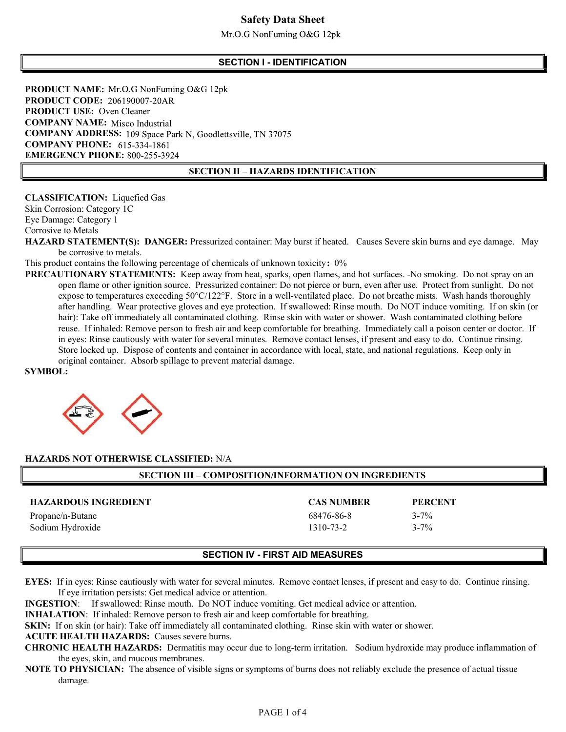## Safety Data Sheet

 $Mr.O.G$  NonFuming O&G 12pk

#### SECTION I - IDENTIFICATION

PRODUCT NAME: Mr.O.G NonFuming O&G 12pk PRODUCT CODE: 206190007-20AR PRODUCT USE: Oven Cleaner COMPANY NAME: Misco Industrial COMPANY ADDRESS: 109 Space Park N, Goodlettsville, TN 37075 **COMPANY PHONE:** 615-334-1861 EMERGENCY PHONE: 800-255-3924

#### SECTION II – HAZARDS IDENTIFICATION

CLASSIFICATION: Liquefied Gas Skin Corrosion: Category 1C Eye Damage: Category 1 Corrosive to Metals

HAZARD STATEMENT(S): DANGER: Pressurized container: May burst if heated. Causes Severe skin burns and eye damage. May be corrosive to metals.

This product contains the following percentage of chemicals of unknown toxicity: 0%

PRECAUTIONARY STATEMENTS: Keep away from heat, sparks, open flames, and hot surfaces. -No smoking. Do not spray on an open flame or other ignition source. Pressurized container: Do not pierce or burn, even after use. Protect from sunlight. Do not expose to temperatures exceeding 50°C/122°F. Store in a well-ventilated place. Do not breathe mists. Wash hands thoroughly after handling. Wear protective gloves and eye protection. If swallowed: Rinse mouth. Do NOT induce vomiting. If on skin (or hair): Take off immediately all contaminated clothing. Rinse skin with water or shower. Wash contaminated clothing before reuse. If inhaled: Remove person to fresh air and keep comfortable for breathing. Immediately call a poison center or doctor. If in eyes: Rinse cautiously with water for several minutes. Remove contact lenses, if present and easy to do. Continue rinsing. Store locked up. Dispose of contents and container in accordance with local, state, and national regulations. Keep only in original container. Absorb spillage to prevent material damage.

SYMBOL:



#### HAZARDS NOT OTHERWISE CLASSIFIED: N/A

| <b>SECTION III – COMPOSITION/INFORMATION ON INGREDIENTS</b> |                   |                |  |  |
|-------------------------------------------------------------|-------------------|----------------|--|--|
| <b>HAZARDOUS INGREDIENT</b>                                 | <b>CAS NUMBER</b> | <b>PERCENT</b> |  |  |
|                                                             |                   |                |  |  |
| Propane/n-Butane                                            | 68476-86-8        | $3 - 7\%$      |  |  |
| Sodium Hydroxide                                            | 1310-73-2         | $3 - 7\%$      |  |  |

#### SECTION IV - FIRST AID MEASURES

EYES: If in eyes: Rinse cautiously with water for several minutes. Remove contact lenses, if present and easy to do. Continue rinsing. If eye irritation persists: Get medical advice or attention.

INGESTION: If swallowed: Rinse mouth. Do NOT induce vomiting. Get medical advice or attention.

INHALATION: If inhaled: Remove person to fresh air and keep comfortable for breathing.

SKIN: If on skin (or hair): Take off immediately all contaminated clothing. Rinse skin with water or shower.

## ACUTE HEALTH HAZARDS: Causes severe burns.

CHRONIC HEALTH HAZARDS: Dermatitis may occur due to long-term irritation. Sodium hydroxide may produce inflammation of the eyes, skin, and mucous membranes.

NOTE TO PHYSICIAN: The absence of visible signs or symptoms of burns does not reliably exclude the presence of actual tissue damage.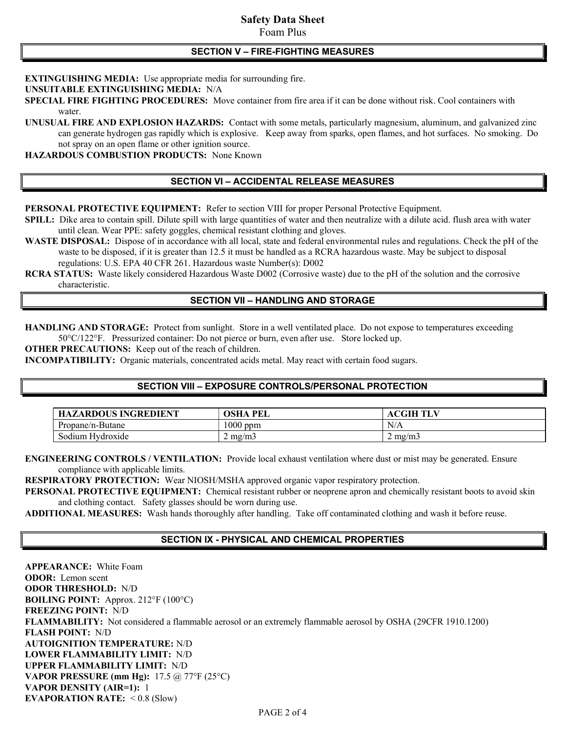# Safety Data Sheet

## Foam Plus

#### SECTION V – FIRE-FIGHTING MEASURES

EXTINGUISHING MEDIA: Use appropriate media for surrounding fire.

UNSUITABLE EXTINGUISHING MEDIA: N/A

SPECIAL FIRE FIGHTING PROCEDURES: Move container from fire area if it can be done without risk. Cool containers with water.

UNUSUAL FIRE AND EXPLOSION HAZARDS: Contact with some metals, particularly magnesium, aluminum, and galvanized zinc can generate hydrogen gas rapidly which is explosive. Keep away from sparks, open flames, and hot surfaces. No smoking. Do not spray on an open flame or other ignition source.

HAZARDOUS COMBUSTION PRODUCTS: None Known

### SECTION VI – ACCIDENTAL RELEASE MEASURES

PERSONAL PROTECTIVE EQUIPMENT: Refer to section VIII for proper Personal Protective Equipment.

SPILL: Dike area to contain spill. Dilute spill with large quantities of water and then neutralize with a dilute acid. flush area with water until clean. Wear PPE: safety goggles, chemical resistant clothing and gloves.

WASTE DISPOSAL: Dispose of in accordance with all local, state and federal environmental rules and regulations. Check the pH of the waste to be disposed, if it is greater than 12.5 it must be handled as a RCRA hazardous waste. May be subject to disposal regulations: U.S. EPA 40 CFR 261. Hazardous waste Number(s): D002

RCRA STATUS: Waste likely considered Hazardous Waste D002 (Corrosive waste) due to the pH of the solution and the corrosive characteristic.

#### SECTION VII – HANDLING AND STORAGE

HANDLING AND STORAGE: Protect from sunlight. Store in a well ventilated place. Do not expose to temperatures exceeding 50°C/122°F. Pressurized container: Do not pierce or burn, even after use. Store locked up.

OTHER PRECAUTIONS: Keep out of the reach of children.

INCOMPATIBILITY: Organic materials, concentrated acids metal. May react with certain food sugars.

## SECTION VIII – EXPOSURE CONTROLS/PERSONAL PROTECTION

| <b>HAZARDOUS INGREDIENT</b> | OSHA<br>PEI                 | <b>ACGIHTLV</b>  |
|-----------------------------|-----------------------------|------------------|
| Propane/n-Butane            | 1000 ppm                    | N/A              |
| Sodium Hydroxide            | $^{\prime}$ mg/m $_{\odot}$ | $2 \text{ mg/m}$ |

ENGINEERING CONTROLS / VENTILATION: Provide local exhaust ventilation where dust or mist may be generated. Ensure compliance with applicable limits.

RESPIRATORY PROTECTION: Wear NIOSH/MSHA approved organic vapor respiratory protection.

PERSONAL PROTECTIVE EQUIPMENT: Chemical resistant rubber or neoprene apron and chemically resistant boots to avoid skin and clothing contact. Safety glasses should be worn during use.

ADDITIONAL MEASURES: Wash hands thoroughly after handling. Take off contaminated clothing and wash it before reuse.

#### SECTION IX - PHYSICAL AND CHEMICAL PROPERTIES

APPEARANCE: White Foam ODOR: Lemon scent ODOR THRESHOLD: N/D BOILING POINT: Approx. 212°F (100°C) FREEZING POINT: N/D FLAMMABILITY: Not considered a flammable aerosol or an extremely flammable aerosol by OSHA (29CFR 1910.1200) FLASH POINT: N/D AUTOIGNITION TEMPERATURE: N/D LOWER FLAMMABILITY LIMIT: N/D UPPER FLAMMABILITY LIMIT: N/D VAPOR PRESSURE (mm Hg): 17.5 @ 77°F (25°C) VAPOR DENSITY (AIR=1): 1 EVAPORATION RATE:  $< 0.8$  (Slow)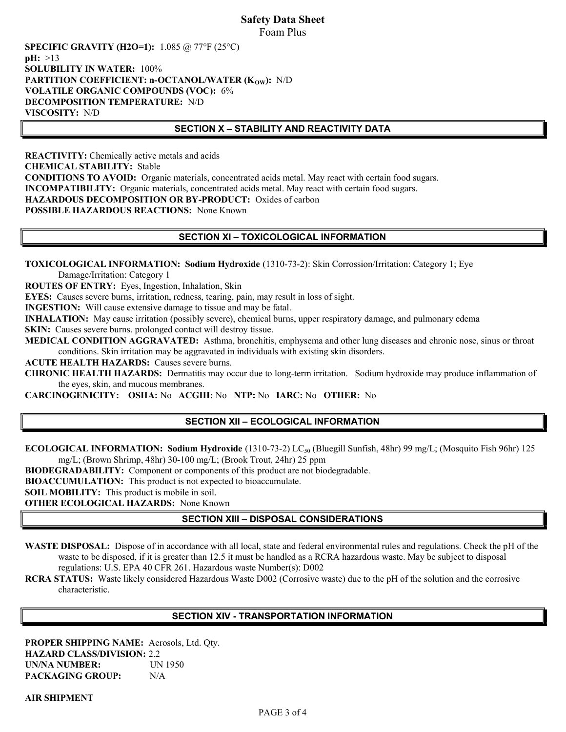## Safety Data Sheet Foam Plus

SPECIFIC GRAVITY (H2O=1): 1.085 @ 77°F (25°C)  $pH: >13$ SOLUBILITY IN WATER: 100% PARTITION COEFFICIENT:  $n$ -OCTANOL/WATER (K<sub>OW</sub>): N/D VOLATILE ORGANIC COMPOUNDS (VOC): 6% DECOMPOSITION TEMPERATURE: N/D VISCOSITY: N/D

### SECTION X – STABILITY AND REACTIVITY DATA

REACTIVITY: Chemically active metals and acids CHEMICAL STABILITY: Stable CONDITIONS TO AVOID: Organic materials, concentrated acids metal. May react with certain food sugars. INCOMPATIBILITY: Organic materials, concentrated acids metal. May react with certain food sugars. HAZARDOUS DECOMPOSITION OR BY-PRODUCT: Oxides of carbon POSSIBLE HAZARDOUS REACTIONS: None Known

## SECTION XI – TOXICOLOGICAL INFORMATION

TOXICOLOGICAL INFORMATION: Sodium Hydroxide (1310-73-2): Skin Corrossion/Irritation: Category 1; Eye Damage/Irritation: Category 1

ROUTES OF ENTRY: Eyes, Ingestion, Inhalation, Skin

EYES: Causes severe burns, irritation, redness, tearing, pain, may result in loss of sight.

INGESTION: Will cause extensive damage to tissue and may be fatal.

INHALATION: May cause irritation (possibly severe), chemical burns, upper respiratory damage, and pulmonary edema

SKIN: Causes severe burns. prolonged contact will destroy tissue.

MEDICAL CONDITION AGGRAVATED: Asthma, bronchitis, emphysema and other lung diseases and chronic nose, sinus or throat conditions. Skin irritation may be aggravated in individuals with existing skin disorders.

ACUTE HEALTH HAZARDS: Causes severe burns.

CHRONIC HEALTH HAZARDS: Dermatitis may occur due to long-term irritation. Sodium hydroxide may produce inflammation of the eyes, skin, and mucous membranes.

CARCINOGENICITY: OSHA: No ACGIH: No NTP: No IARC: No OTHER: No

## SECTION XII – ECOLOGICAL INFORMATION

ECOLOGICAL INFORMATION: Sodium Hydroxide (1310-73-2) LC<sub>50</sub> (Bluegill Sunfish, 48hr) 99 mg/L; (Mosquito Fish 96hr) 125 mg/L; (Brown Shrimp, 48hr) 30-100 mg/L; (Brook Trout, 24hr) 25 ppm

BIODEGRADABILITY: Component or components of this product are not biodegradable.

BIOACCUMULATION: This product is not expected to bioaccumulate.

SOIL MOBILITY: This product is mobile in soil.

OTHER ECOLOGICAL HAZARDS: None Known

## SECTION XIII – DISPOSAL CONSIDERATIONS

WASTE DISPOSAL: Dispose of in accordance with all local, state and federal environmental rules and regulations. Check the pH of the waste to be disposed, if it is greater than 12.5 it must be handled as a RCRA hazardous waste. May be subject to disposal regulations: U.S. EPA 40 CFR 261. Hazardous waste Number(s): D002

RCRA STATUS: Waste likely considered Hazardous Waste D002 (Corrosive waste) due to the pH of the solution and the corrosive characteristic.

## SECTION XIV - TRANSPORTATION INFORMATION

PROPER SHIPPING NAME: Aerosols, Ltd. Qty. HAZARD CLASS/DIVISION: 2.2 UN/NA NUMBER: UN 1950 PACKAGING GROUP: N/A

AIR SHIPMENT